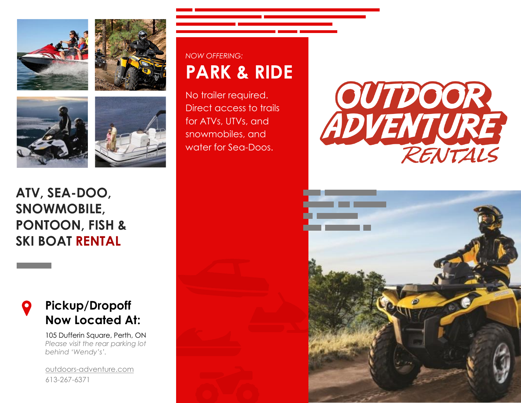







### **ATV, SEA-DOO, SNOWMOBILE, PONTOON, FISH & SKI BOAT RENTAL**

### **Pickup/Dropoff Now Located At:**

105 Dufferin Square, Perth, ON *Please visit the rear parking lot behind 'Wendy's'.*

[outdoors-adventure.com](www.outdoors-adventure.com) 613-267-6371

## *NOW OFFERING:* **PARK & RIDE**

No trailer required. Direct access to trails for ATVs, UTVs, and snowmobiles, and water for Sea-Doos.